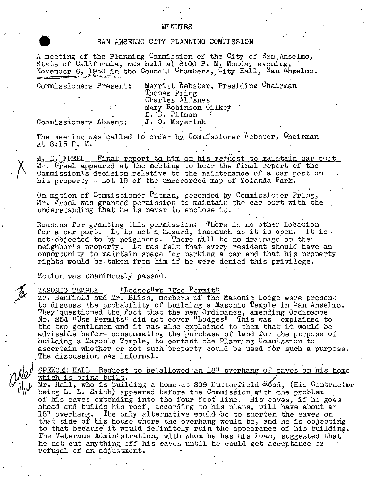## **MINUTES**

## SAN ANSELLO CITY PLANNING COMMISSION

A meeting of the Pranning Commission of the City of San Anselmo, State of California, was held at 8:00 P. M. Monday evening, November 6, 1950 in the Council Chambers, City Hall, San Anselmo.

Commissioners Present:

Merritt Webster, Presiding Chairman Thomas Pring Charles Alfsnes. Mary Robinson Gilkey E. D. Pitman

Commissioners Absent:

J. O. Meyerink

The meeting was called to order by Commissioner Webster, Chairman at 8:15 P. M.

M. D. FREEL - Final report to him on his request to maintain car port Mr. Freel appeared at the meeting to hear the final report of the Commission's decision relative to the maintenance of a car port on his property - Lot 19 of the unrecorded map of Yolanda Park.

On motion of Commissioner Pitman, seconded by Commissioner Pring, Mr. Freel was granted permission to maintain the car port with the understanding that he is never to enclose it.

Reasons for granting this permission: There is no other location for a car port. It is not a hazard, inasmuch as it is open. It is. not objected to by neighbors. There will be no drainage on the neighbor's property. It was felt that every resident should have an opportunity to maintain space for parking a car and that his property. rights would be taken from him if he were denied this privilege.

Motion was unanimously passed.

## MASONIC TEMPLE - "Lodges"vs "Use Permit"

Mr. Banfield and Mr. Bliss, members of the Masonic Lodge were present to discuss the probability of building a Masonic Temple in Pan Anselmo. They questioned the fact that the new Ordinance, amending Ordinance No. 254 "Use Permits" did not cover "Lodges" This was explained to the two gentlemen and it was also explained to them that it would be advisable before consummating the purchase of land for the purpose of building a Masonic Temple, to contact the Planning Commission to ascertain whether or not such property could be used for such a purpose. The discussion was informal.

SPENCER HALL Request to be allowed an 18" overhang of eaves on his home which is being built.

Mr. Hall, who is building a home at 209 Butterfield Boad, (His Contractor. being L. L. Smith) appeared before the Commission with the problem of his eaves extending into the four foot line. His eaves, if he goes ahead and builds his roof, according to his plans, will have about an 18" overhang. The only alternative would be to shorten the eaves on that side of his house where the overhang would be, and he is objecting to that because it would definitely ruin the appearance of his building. The Veterans Administration, with whom he has his loan, suggested that he not cut anything off his eaves until he could get acceptance or refusal of an adjustment.